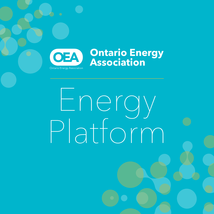

# **Ontario Energy Association**

Energy Platform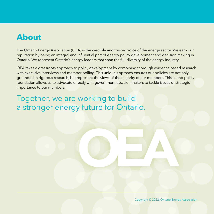## **About**

The Ontario Energy Association (OEA) is the credible and trusted voice of the energy sector. We earn our reputation by being an integral and influential part of energy policy development and decision making in Ontario. We represent Ontario's energy leaders that span the full diversity of the energy industry.

OEA takes a grassroots approach to policy development by combining thorough evidence based research with executive interviews and member polling. This unique approach ensures our policies are not only grounded in rigorous research, but represent the views of the majority of our members. This sound policy foundation allows us to advocate directly with government decision makers to tackle issues of strategic importance to our members.

Together, we are working to build a stronger energy future for Ontario.

Copyright © 2022, Ontario Energy Association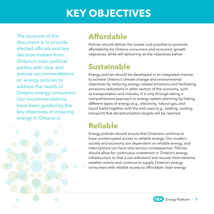# **KEY OBJECTIVES**

The purpose of this document is to provide elected officials and key decision makers from Ontario's main political parties with clear and precise recommendations on energy policies to address the needs of Ontario energy consumers. Our recommendations have been guided by the key objectives of ensuring energy in Ontario is:

## **Affordable**

Policies should deliver the lowest cost possible to promote affordability for Ontario consumers and economic growth objectives, while still delivering on the objectives below

# **Sustainable**

Energy policies should be developed in an integrated manner to achieve Ontario's climate change and environmental objectives by reducing energy related emissions and facilitating emissions reductions in other sectors of the economy, such as transportation and industry. It is only through taking a comprehensive approach to energy system planning by linking different types of energy (e.g., electricity, natural gas, and liquid fuels) together with the end-uses (e.g., heating, cooling, transport) that decarbonization targets will be reached

## **Reliable**

Energy policies should ensure that Ontarians continue to have uninterrupted access to reliable energy. Our modern society and economy are dependent on reliable energy, and interruptions can have very serious consequences. Policies should allow for continuous investment in Ontario's energy infrastructure so that it can withstand and recover from extreme weather events and continue to supply Ontario's energy consumers with reliable access to affordable clean energy

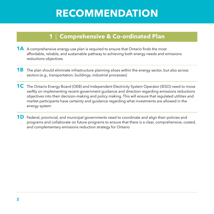### **1** | **Comprehensive & Co-ordinated Plan**

- **1A** A comprehensive energy-use plan is required to ensure that Ontario finds the most affordable, reliable, and sustainable pathway to achieving both energy needs and emissions reductions objectives
- **1B** The plan should eliminate infrastructure planning siloes within the energy sector, but also across sectors (e.g., transportation, buildings, industrial processes)
- **1C** The Ontario Energy Board (OEB) and Independent Electricity System Operator (IESO) need to move swiftly on implementing recent government guidance and direction regarding emissions reductions objectives into their decision-making and policy making. This will ensure that regulated utilities and market participants have certainty and guidance regarding what investments are allowed in the energy system
- **1D** Federal, provincial, and municipal governments need to coordinate and align their policies and programs and collaborate on future programs to ensure that there is a clear, comprehensive, costed, and complementary emissions reduction strategy for Ontario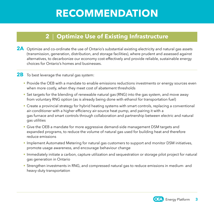### **2** | **Optimize Use of Existing Infrastructure**

- 2A Optimize and co-ordinate the use of Ontario's substantial existing electricity and natural gas assets (transmission, generation, distribution, and storage facilities), where prudent and assessed against alternatives, to decarbonize our economy cost-effectively and provide reliable, sustainable energy choices for Ontario's homes and businesses.
- **2B** To best leverage the natural gas system:
	- Provide the OEB with a mandate to enable emissions reductions investments or energy sources even when more costly, when they meet cost of abatement thresholds
	- **•** Set targets for the blending of renewable natural gas (RNG) into the gas system, and move away from voluntary RNG option (as is already being done with ethanol for transportation fuel)
	- **•** Create a provincial strategy for hybrid heating systems with smart controls, replacing a conventional air-conditioner with a higher efficiency air-source heat pump, and pairing it with a gas furnace and smart controls through collaboration and partnership between electric and natural gas utilities
	- **•** Give the OEB a mandate for more aggressive demand-side management DSM targets and expanded programs, to reduce the volume of natural gas used for building heat and therefore reduce emissions
	- **•** Implement Automated Metering for natural gas customers to support and monitor DSM initiatives, promote usage awareness, and encourage behaviour change
	- **•** Immediately initiate a carbon, capture utilization and sequestration or storage pilot project for natural gas generation in Ontario
	- **•** Strengthen investments in RNG, and compressed natural gas to reduce emissions in medium- and heavy-duty transportation

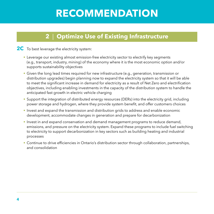### **2** | **Optimize Use of Existing Infrastructure**

### **2C** To best leverage the electricity system:

- Leverage our existing almost emission-free electricity sector to electrify key segments (e.g., transport, industry, mining) of the economy where it is the most economic option and/or supports sustainability objectives
- **•** Given the long lead times required for new infrastructure (e.g., generation, transmission or distribution upgrades) begin planning now to expand the electricity system so that it will be able to meet the significant increase in demand for electricity as a result of Net Zero and electrification objectives, including enabling investments in the capacity of the distribution system to handle the anticipated fast growth in electric vehicle charging
- **•** Support the integration of distributed energy resources (DERs) into the electricity grid, including power storage and hydrogen, where they provide system benefit, and offer customers choices
- **•** Invest and expand the transmission and distribution grids to address and enable economic development, accommodate changes in generation and prepare for decarbonization
- **•** Invest in and expand conservation and demand management programs to reduce demand, emissions, and pressure on the electricity system. Expand these programs to include fuel switching to electricity to support decarbonization in key sectors such as building heating and industrial processes
- **•** Continue to drive efficiencies in Ontario's distribution sector through collaboration, partnerships, and consolidation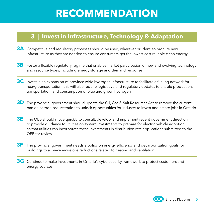### **3** | **Invest in Infrastructure, Technology & Adaptation**

- **3A** Competitive and regulatory processes should be used, wherever prudent, to procure new infrastructure as they are needed to ensure consumers get the lowest cost reliable clean energy
- **3B** Foster a flexible regulatory regime that enables market participation of new and evolving technology and resource types, including energy storage and demand response
- **3C** Invest in an expansion of province wide hydrogen infrastructure to facilitate a fueling network for heavy transportation; this will also require legislative and regulatory updates to enable production, transportation, and consumption of blue and green hydrogen
- **3D** The provincial government should update the Oil, Gas & Salt Resources Act to remove the current ban on carbon sequestration to unlock opportunities for industry to invest and create jobs in Ontario
- **3E** The OEB should move quickly to consult, develop, and implement recent government direction to provide guidance to utilities on system investments to prepare for electric vehicle adoption, so that utilities can incorporate these investments in distribution rate applications submitted to the OEB for review
- **3F** The provincial government needs a policy on energy efficiency and decarbonization goals for buildings to achieve emissions reductions related to heating and ventilation
- **3G** Continue to make investments in Ontario's cybersecurity framework to protect customers and energy sources

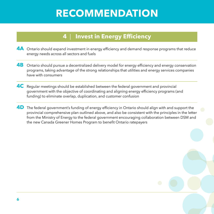### **4** | **Invest in Energy Efficiency**

- **4A** Ontario should expand investment in energy efficiency and demand response programs that reduce energy needs across all sectors and fuels
- **4B** Ontario should pursue a decentralized delivery model for energy efficiency and energy conservation programs, taking advantage of the strong relationships that utilities and energy services companies have with consumers
- **4C** Regular meetings should be established between the federal government and provincial government with the objective of coordinating and aligning energy efficiency programs (and funding) to eliminate overlap, duplication, and customer confusion
- **4D** The federal government's funding of energy efficiency in Ontario should align with and support the provincial comprehensive plan outlined above, and also be consistent with the principles in the letter from the Ministry of Energy to the federal government encouraging collaboration between DSM and the new Canada Greener Homes Program to benefit Ontario ratepayers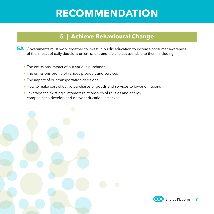### **5** | **Achieve Behavioural Change**

- **5A** Governments must work together to invest in public education to increase consumer awareness of the impact of daily decisions on emissions and the choices available to them, including
	- **•** The emissions impact of our various purchases
	- **•** The emissions profile of various products and services
	- **•** The impact of our transportation decisions
	- **•** How to make cost-effective purchases of goods and services to lower emissions
	- **•** Leverage the existing customers relationships of utilities and energy companies to develop and deliver education initiatives

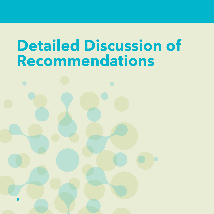# **Detailed Discussion of Recommendations**

**8**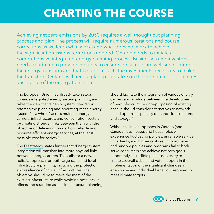# **CHARTING THE COURSE**

Achieving net zero emissions by 2050 requires a well thought out planning process and plan. The process will require numerous iterations and course corrections as we learn what works and what does not work to achieve the significant emissions reductions needed. Ontario needs to initiate a comprehensive integrated energy planning process. Businesses and investors need a roadmap to provide certainty to ensure consumers are well served during the energy transition and that Ontario attracts the investments necessary to make the transition. Ontario will need a plan to capitalize on the economic opportunities arising out of the energy transition.

The European Union has already taken steps towards [integrated energy system planning](https://ec.europa.eu/energy/topics/energy-system-integration/eu-strategy-energy-system-integration_en), and takes the view that "Energy system integration refers to the planning and operating of the energy system "as a whole", across multiple energy carriers, infrastructures, and consumption sectors, by creating stronger links between them with the objective of delivering low-carbon, reliable and resource-efficient energy services, at the least possible cost for society."

The [EU strategy](https://eur-lex.europa.eu/legal-content/EN/ALL/?uri=COM:2020:299:FIN) states further that "Energy system integration will translate into more physical links between energy carriers. This calls for a new, holistic approach for both large-scale and local infrastructure planning, including the protection and resilience of critical infrastructures. The objective should be to make the most of the existing infrastructure while avoiding both lock-in effects and stranded assets. Infrastructure planning should facilitate the integration of various energy carriers and arbitrate between the development of new infrastructure or re-purposing of existing ones. It should consider alternatives to networkbased options, especially demand-side solutions and storage."

Without a similar approach in Ontario (and Canada), businesses and households will experience fluctuating policies, unreliable service, uncertainty, and higher costs as uncoordinated and random policies and programs fail to both serve consumers and achieve net zero goals. Importantly, a credible plan is necessary to create coverall citizen and voter support in the implementation of the significant changes in energy use and individual behaviour required to meet climate targets.

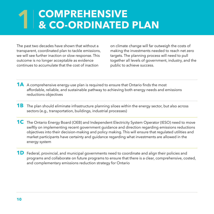# **COMPREHENSIVE 1 & CO-ORDINATED PLAN**

The past two decades have shown that without a transparent, coordinated plan to tackle emissions, we will see further inaction or slow response. This outcome is no longer acceptable as evidence continues to accumulate that the cost of inaction

on climate change will far outweigh the costs of making the investments needed to reach net zero targets. The planning process will need to pull together all levels of government, industry, and the public to achieve success.

- **1A** A comprehensive energy-use plan is required to ensure that Ontario finds the most affordable, reliable, and sustainable pathway to achieving both energy needs and emissions reductions objectives
- **1B** The plan should eliminate infrastructure planning siloes within the energy sector, but also across sectors (e.g., transportation, buildings, industrial processes)
- **1C** The Ontario Energy Board (OEB) and Independent Electricity System Operator (IESO) need to move swiftly on implementing recent government guidance and direction regarding emissions reductions objectives into their decision-making and policy making. This will ensure that regulated utilities and market participants have certainty and guidance regarding what investments are allowed in the energy system
- **1D** Federal, provincial, and municipal governments need to coordinate and align their policies and programs and collaborate on future programs to ensure that there is a clear, comprehensive, costed, and complementary emissions reduction strategy for Ontario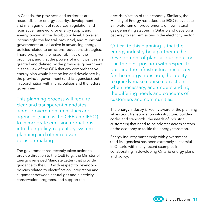In Canada, the provinces and territories are responsible for energy security, development and management of resources, regulation and legislative framework for energy supply, and energy pricing at the distribution level. However, increasingly, the federal, provincial, and municipal governments are all active in advancing energy policies related to emissions reductions strategies. Therefore, given the responsibilities of the provinces, and that the powers of municipalities are granted and defined by the provincial government, it is the view of the OEA that any comprehensive energy plan would best be led and developed by the provincial government (and its agencies), but in coordination with municipalities and the federal government.

This planning process will require clear and transparent mandates across government ministries and agencies (such as the OEB and IESO) to incorporate emission reductions into their policy, regulatory, system planning and other relevant decision-making.

The government has recently taken action to provide direction to the OEB (e.g., the Minister of Energy's [renewed Mandate Letter](https://www.oeb.ca/sites/default/files/mandate-letter-from-the-Minister-of-Energy-20211115-en.pdf)) that provide guidance to the OEB with respect to developing policies related to electrification, integration and alignment between natural gas and electricity conservation programs, and support the

decarbonization of the economy. Similarly, the [Ministry of Energy has asked the IESO](https://ieso.ca/-/media/Files/IESO/Document-Library/corporate/ministerial-directives/Letter-from-Minister-Gas-Phase-Out-Impact-Assessment.ashx) to evaluate a moratorium on procurements of new natural gas generating stations in Ontario and develop a pathway to zero emissions in the electricity sector.

Critical to this planning is that the energy industry be a partner in the development of plans as our industry is in the best position with respect to building the infrastructure necessary for the energy transition, the ability to quickly make course corrections when necessary, and understanding the differing needs and concerns of customers and communities.

The energy industry is keenly aware of the planning siloes (e.g., transportation infrastructure; building codes and standards; the needs of industrial customers) that need to be address across sectors of the economy to tackle the energy transition.

Energy industry partnership with government (and its agencies) has been extremely successful in Ontario with many recent examples in collaborating in developing Ontario energy plans and policy:

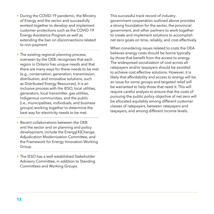- **•** During the COVID-19 pandemic, the Ministry of Energy and the sector and successfully worked together to develop and implement customer protections such as the COVID-19 Energy Assistance Program as well as extending the ban on disconnections related to non-payment
- **•** The existing regional planning process, overseen by the OEB, recognizes that each region in Ontario has unique needs and that there are many ways for these needs to be met (e.g., conservation, generation, transmission, distribution, and innovative solutions, such as Distributed Energy Resources). It is an inclusive process with the IESO, local utilities, generators, local transmitter, gas utilities, Indigenous communities, and the public (i.e., municipalities, individuals, and business groups) working together to determine the best way for electricity needs to be met.
- **•** Recent collaborations between the OEB and the sector and on planning and policy development, include the Energy[X]Change, Adjudication Modernization Committee, and the Framework for Energy Innovation Working Group.
- **•** The IESO has a well-established Stakeholder Advisory Committee, in addition to Standing Committees and Working Groups.

This successful track record of industrygovernment cooperation outlined above provides a strong foundation for the sector, the provincial government, and other partners to work together to create and implement solutions to accomplish net zero goals on time, reliably, and cost-effectively

When considering issues related to costs the OEA believes energy costs should be borne typically by those that benefit from the access to energy. The widespread socialization of cost across all ratepayers and/or taxpayers should be avoided to achieve cost effective solutions. However, it is likely that affordability and access to energy will be an issue for some groups and targeted relief will be warranted to help those that need it. This will require careful analysis to ensure that the costs of pursuing the public policy objective of net zero will be allocated equitably among different customer classes of ratepayers, between ratepayers and taxpayers, and among different income levels.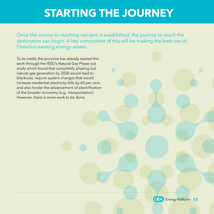# **STARTING THE JOURNEY**

Once the course to reaching net zero is established, the journey to reach the destination can begin. A key component of this will be making the best use of Ontario's existing energy assets.

To its credit, the province has already started this work through the IESO's [Natural Gas Phase-out](https://ieso.ca/en/Learn/Ontario-Supply-Mix/Natural-Gas-Phase-Out-Study) study which found that completely phasing out natural gas generation by 2030 would lead to blackouts, require system changes that would increase residential electricity bills by 60 per cent, and also hinder the advancement of electrification of the broader economy (e.g., transportation). However, there is more work to be done.

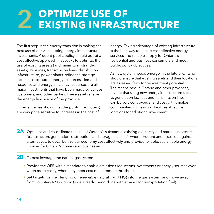# **OPTIMIZE USE OF 2 EXISTING INFRASTRUCTURE**

The first step in the energy transition is making the best use of our vast existing energy infrastructure investments. Prudent public policy should adopt a cost-effective approach that seeks to optimize the use of existing assets (and minimizing stranded assets). Pipelines, transmission lines, distribution infrastructure, power plants, refineries, storage facilities, distributed energy resources, demand response and energy efficiency resources are all major investments that have been made by utilities, customers, and other parties. These assets shape the energy landscape of the province.

Experience has shown that the public (i.e., voters) are very price sensitive to increases in the cost of

energy. Taking advantage of existing infrastructure is the best way to ensure cost effective energy services and reliable supply for Ontario's residential and business consumers and meet public policy objectives.

As new system needs emerge in the future, Ontario should ensure that existing assets and their locations are assessed fairly for reinvestment potential. The recent past, in Ontario and other provinces, reveals that siting new energy infrastructure such as generation facilities and transmission lines can be very controversial and costly; this makes communities with existing facilities attractive locations for additional investment.

- 2A Optimize and co-ordinate the use of Ontario's substantial existing electricity and natural gas assets (transmission, generation, distribution, and storage facilities), where prudent and assessed against alternatives, to decarbonize our economy cost-effectively and provide reliable, sustainable energy choices for Ontario's homes and businesses.
- **2B** To best leverage the natural gas system:
	- Provide the OEB with a mandate to enable emissions reductions investments or energy sources even when more costly, when they meet cost of abatement thresholds
	- **•** Set targets for the blending of renewable natural gas (RNG) into the gas system, and move away from voluntary RNG option (as is already being done with ethanol for transportation fuel)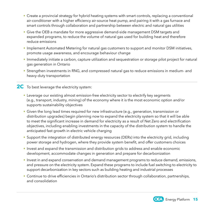- **•** Create a provincial strategy for hybrid heating systems with smart controls, replacing a conventional air-conditioner with a higher efficiency air-source heat pump, and pairing it with a gas furnace and smart controls through collaboration and partnership between electric and natural gas utilities
- **•** Give the OEB a mandate for more aggressive demand-side management DSM targets and expanded programs, to reduce the volume of natural gas used for building heat and therefore reduce emissions
- **•** Implement Automated Metering for natural gas customers to support and monitor DSM initiatives, promote usage awareness, and encourage behaviour change
- **•** Immediately initiate a carbon, capture utilization and sequestration or storage pilot project for natural gas generation in Ontario
- **•** Strengthen investments in RNG, and compressed natural gas to reduce emissions in medium- and heavy-duty transportation
- **2C** To best leverage the electricity system:
	- Leverage our existing almost emission-free electricity sector to electrify key segments (e.g., transport, industry, mining) of the economy where it is the most economic option and/or supports sustainability objectives
	- **•** Given the long lead times required for new infrastructure (e.g., generation, transmission or distribution upgrades) begin planning now to expand the electricity system so that it will be able to meet the significant increase in demand for electricity as a result of Net Zero and electrification objectives, including enabling investments in the capacity of the distribution system to handle the anticipated fast growth in electric vehicle charging
	- **•** Support the integration of distributed energy resources (DERs) into the electricity grid, including power storage and hydrogen, where they provide system benefit, and offer customers choices
	- **•** Invest and expand the transmission and distribution grids to address and enable economic development, accommodate changes in generation and prepare for decarbonization
	- **•** Invest in and expand conservation and demand management programs to reduce demand, emissions, and pressure on the electricity system. Expand these programs to include fuel switching to electricity to support decarbonization in key sectors such as building heating and industrial processes
	- **•** Continue to drive efficiencies in Ontario's distribution sector through collaboration, partnerships, and consolidation

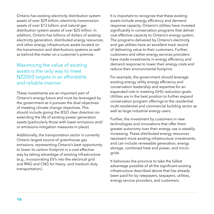Ontario has existing electricity distribution system assets of over \$29 billion, electricity transmission assets of over \$13 billion, and natural gas distribution system assets of over \$25 billion. In addition, Ontario has billions of dollars of existing electricity generation, distributed energy resources, and other energy infrastructure assets located on the transmission and distributions systems as well as behind-the-meter on a customer's premise.

### Maximizing the value of existing assets is the only way to meet NZ2050 targets in an affordable and reliable manner.

These investments are an important part of Ontario's energy future and must be leveraged by the government as it pursues the dual objectives of meeting climate change objectives. This should include giving the IESO clear direction on extending the life of existing power generation assets (particularly those with lower emissions and/ or emissions-mitigation measures in place).

Additionally, the transportation sector is currently Ontario largest source of greenhouse gas emissions, representing Ontario's best opportunity to lower its carbon footprint in a cost-effective way by taking advantage of existing infrastructure (e.g., incorporating EV's into the electrical grid and RNG and CNG for heavy- and medium-duty transportation).

It is important to recognize that these existing assets include energy efficiency and demand response capacity. Ontario's utilities have invested significantly in conservation programs that deliver cost effective capacity to Ontario's energy system. The programs delivered by Ontario's electricity and gas utilities have an excellent track record of delivering value to their customers. Further, customers and other energy services providers have made investments in energy efficiency and demand response to lower their energy costs and reduce their environmental footprint.

For example, the government should leverage existing energy utility energy efficiency and conservation leadership and expertise for an expanded role in meeting GHG reduction goals. Utilities are in the best position to further expand conservation program offerings to the residential, multi-residential and commercial building sector as well as large industrial energy users.

Further, the investment by customers in new technologies and innovations that offer them greater autonomy over their energy use is steadily increasing. These distributed energy resources represent more existing infrastructure investments, and can include renewable generation, energy storage, combined heat and power, and microgrids.

It behooves the province to take the fullest advantage possible of all the significant existing infrastructure described above that has already been paid for by ratepayers, taxpayers, utilities, energy service providers, and customers.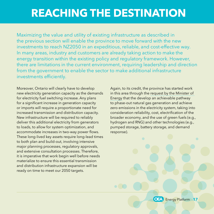# **REACHING THE DESTINATION**

Maximizing the value and utility of existing infrastructure as described in the previous section will enable the province to move forward with the new investments to reach NZ2050 in an expeditious, reliable, and cost-effective way. In many areas, industry and customers are already taking action to make the energy transition within the existing policy and regulatory framework. However, there are limitations in the current environment, requiring leadership and direction from the government to enable the sector to make additional infrastructure investments efficiently.

Moreover, Ontario will clearly have to develop new electricity generation capacity as the demands for electricity fuel switching increase. Any plans for a significant increase in generation capacity or imports will require a proportionate need for increased transmission and distribution capacity. New infrastructure will be required to reliably deliver this additional electricity from generators to loads, to allow for system optimization, and accommodate increases in two-way power flows. These long-lived key assets require long-lead times to both plan and build-out, involving intensive major planning processes, regulatory approvals, and extensive consultation processes. Therefore, it is imperative that work begin well before needs materialize to ensure this essential transmission and distribution infrastructure expansion will be ready on time to meet our 2050 targets.

Again, to its credit, the province has started work in this area through the [request by the Minister of](https://www.ieso.ca/-/media/Files/IESO/Document-Library/corporate/ministerial-directives/Letter-from-Minister-Gas-Phase-Out-Impact-Assessment.ashx)  [Energy](https://www.ieso.ca/-/media/Files/IESO/Document-Library/corporate/ministerial-directives/Letter-from-Minister-Gas-Phase-Out-Impact-Assessment.ashx) that the develop an achievable pathway to phase-out natural gas generation and achieve zero emissions in the electricity system, taking into consideration reliability, cost, electrification of the broader economy, and the use of green fuels (e.g., hydrogen and RNG) and other technologies (e.g., pumped storage, battery storage, and demand response).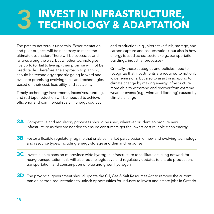# **INVEST IN INFRASTRUCTURE, 3 TECHNOLOGY & ADAPTATION**

The path to net zero is uncertain. Experimentation and pilot projects will be necessary to reach the ultimate destination. There will be successes and failures along the way, but whether technologies live up to (or fail to live up) their promise will not be predictable. Therefore, the approach to planning should be technology agnostic going forward and evaluate promising evolving fuels and technologies based on their cost, feasibility, and scalability.

Timely technology investments, incentives, funding, and red tape reduction will be needed to achieve efficiency and commercial-scale in energy sources

and production (e.g., alternative fuels, storage, and carbon capture and sequestration), but also in how energy is used across sectors (e.g., transportation, buildings, industrial processes).

Critically, these strategies and policies need to recognize that investments are required to not only lower emissions, but also to assist in adapting to climate change by making energy infrastructure more able to withstand and recover from extreme weather events (e.g., wind and flooding) caused by climate change

- **3A** Competitive and regulatory processes should be used, wherever prudent, to procure new infrastructure as they are needed to ensure consumers get the lowest cost reliable clean energy
- **3B** Foster a flexible regulatory regime that enables market participation of new and evolving technology and resource types, including energy storage and demand response
- **3C** Invest in an expansion of province wide hydrogen infrastructure to facilitate a fueling network for heavy transportation; this will also require legislative and regulatory updates to enable production, transportation, and consumption of blue and green hydrogen
- **3D** The provincial government should update the Oil, Gas & Salt Resources Act to remove the current ban on carbon sequestration to unlock opportunities for industry to invest and create jobs in Ontario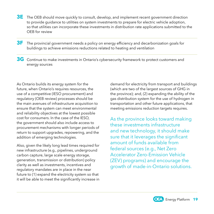- **3E** The OEB should move quickly to consult, develop, and implement recent government direction to provide guidance to utilities on system investments to prepare for electric vehicle adoption, so that utilities can incorporate these investments in distribution rate applications submitted to the OEB for review
- **3F** The provincial government needs a policy on energy efficiency and decarbonization goals for buildings to achieve emissions reductions related to heating and ventilation
- **3G** Continue to make investments in Ontario's cybersecurity framework to protect customers and energy sources

As Ontario builds its energy system for the future, when Ontario's requires resources, the use of a competitive (IESO procurement) and regulatory (OEB review) processes should be the main avenues of infrastructure acquisition to ensure that the system can meet environmental and reliability objectives at the lowest possible cost for consumers. In the case of the IESO, the government should also include access to procurement mechanisms with longer periods of return to support upgrades, repowering, and the addition of emerging technologies.

Also, given the likely long lead times required for new infrastructure (e.g., pipelines, underground carbon capture, large scale energy storage, generation, transmission or distribution) policy clarity as well as investments, incentives and regulatory mandates are in place in the near future to (1) expand the electricity system so that it will be able to meet the significantly increase in demand for electricity from transport and buildings (which are two of the largest sources of GHG in the province); and, (2) expanding the ability of the gas distribution system for the use of hydrogen in transportation and other future applications, that meeting emissions reduction targets requires.

As the province looks toward making these investments infrastructure and new technology, it should make sure that it leverages the significant amount of funds available from federal sources (e.g., Net Zero Accelerator Zero-Emission Vehicle (ZEV) programs) and encourage the growth of made-in-Ontario solutions.

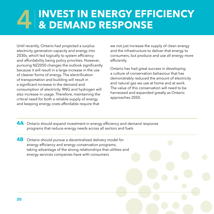# **INVEST IN ENERGY EFFICIENCY 4 & DEMAND RESPONSE**

Until recently, Ontario had projected a surplus electricity generation capacity and energy into 2030s, which led logically to system efficiency and affordability being policy priorities. However, pursuing NZ2050 changes the outlook significantly because it will result in a large increase in the use of cleaner forms of energy. The electrification of transportation and building will result in a significant increase in the demand and consumption of electricity. RNG and hydrogen will also increase in usage. Therefore, maintaining the critical need for both a reliable supply of energy and keeping energy costs affordable require that

we not just increase the supply of clean energy and the infrastructure to deliver that energy to consumers, but produce and use all energy more efficiently.

Ontario has had great success in developing a culture of conservation behaviour that has demonstrably reduced the amount of electricity and natural gas we use at home and at work. The value of this conservation will need to be harnessed and expanded greatly as Ontario approaches 2050.

**4A** Ontario should expand investment in energy efficiency and demand response programs that reduce energy needs across all sectors and fuels

**4B** Ontario should pursue a decentralized delivery model for energy efficiency and energy conservation programs, taking advantage of the strong relationships that utilities and energy services companies have with consumers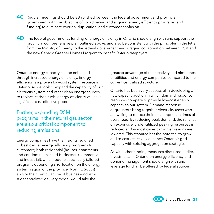- **4C** Regular meetings should be established between the federal government and provincial government with the objective of coordinating and aligning energy efficiency programs (and funding) to eliminate overlap, duplication, and customer confusion
- **4D** The federal government's funding of energy efficiency in Ontario should align with and support the provincial comprehensive plan outlined above, and also be consistent with the principles in the letter from the Ministry of Energy to the federal government encouraging collaboration between DSM and the new Canada Greener Homes Program to benefit Ontario ratepayers

Ontario's energy capacity can be enhanced through increased energy efficiency. Energy efficiency is a proven low-cost system resource in Ontario. As we look to expand the capability of our electricity system and other clean energy sources to replace carbon fuels, energy efficiency will have significant cost-effective potential.

### Further, expanding DSM programs in the natural gas sector are also a critical component to reducing emissions.

Energy companies have the insights required to best deliver energy efficiency programs to customers; both residential (houses, apartments, and condominiums) and businesses (commercial and industrial), which require specifically tailored programs depending size, location on the energy system, region of the province (North v. South) and/or their particular line of business/industry. A decentralized delivery model would take the

greatest advantage of the creativity and nimbleness of utilities and energy companies compared to the current centralized structure.

Ontario has been very successful in developing a new capacity auction in which demand response resources compete to provide low-cost energy capacity to our system. Demand response aggregators bring together electricity users who are willing to reduce their consumption in times of peak need. By reducing peak demand, the reliance on expensive, under-utilized peaking resources is reduced and in most cases carbon emissions are lowered. This resource has the potential to grow and to cost-effectively enhance Ontario's grid capacity with existing aggregation strategies.

As with other funding measures discussed earlier, investments in Ontario on energy efficiency and demand management should align with and leverage funding be offered by federal sources.

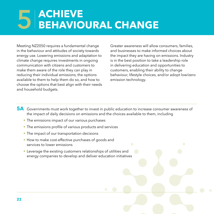# **ACHIEVE 5 BEHAVIOURAL CHANGE**

Meeting NZ2050 requires a fundamental change in the behaviour and attitudes of society towards energy use. Lowering emissions and adaptation to climate change requires investments in ongoing communication with citizens and customers to make them aware of the role they can play in reducing their individual emissions, the options available to them to help them do so, and how to choose the options that best align with their needs and household budgets.

Greater awareness will allow consumers, families, and businesses to make informed choices about the impact they are having on emissions. Industry is in the best position to take a leadership role in delivering education and opportunities to customers, enabling their ability to change behaviour, lifestyle choices, and/or adopt low/zero emission technology.

- **5A** Governments must work together to invest in public education to increase consumer awareness of the impact of daily decisions on emissions and the choices available to them, including
	- **•** The emissions impact of our various purchases
	- **•** The emissions profile of various products and services
	- **•** The impact of our transportation decisions
	- **•** How to make cost-effective purchases of goods and services to lower emissions
	- **•** Leverage the existing customers relationships of utilities and energy companies to develop and deliver education initiatives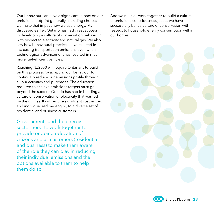Our behaviour can have a significant impact on our emissions footprint generally, including choices we make that impact how we use energy. As discussed earlier, Ontario has had great success in developing a culture of conservation behaviour with respect to electricity and natural gas. We also saw how behavioural practices have resulted in increasing transportation emissions even when technological advancement has resulted in much more fuel-efficient vehicles.

Reaching NZ2050 will require Ontarians to build on this progress by adapting our behaviour to continually reduce our emissions profile through all our activities and purchases. The education required to achieve emissions targets must go beyond the success Ontario has had in building a culture of conservation of electricity that was led by the utilities. It will require significant customized and individualized messaging to a diverse set of residential and business customers.

Governments and the energy sector need to work together to provide ongoing education of citizens and all customers (residential and business) to make them aware of the role they can play in reducing their individual emissions and the options available to them to help them do so.

And we must all work together to build a culture of emissions consciousness just as we have successfully built a culture of conservation with respect to household energy consumption within our homes.



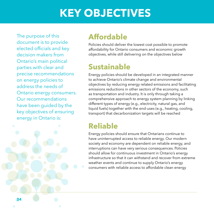# **KEY OBJECTIVES**

The purpose of this document is to provide elected officials and key decision makers from Ontario's main political parties with clear and precise recommendations on energy policies to address the needs of Ontario energy consumers. Our recommendations have been guided by the key objectives of ensuring energy in Ontario is:

**24**

## **Affordable**

Policies should deliver the lowest cost possible to promote affordability for Ontario consumers and economic growth objectives, while still delivering on the objectives below

## **Sustainable**

Energy policies should be developed in an integrated manner to achieve Ontario's climate change and environmental objectives by reducing energy related emissions and facilitating emissions reductions in other sectors of the economy, such as transportation and industry. It is only through taking a comprehensive approach to energy system planning by linking different types of energy (e.g., electricity, natural gas, and liquid fuels) together with the end-uses (e.g., heating, cooling, transport) that decarbonization targets will be reached

## **Reliable**

Energy policies should ensure that Ontarians continue to have uninterrupted access to reliable energy. Our modern society and economy are dependent on reliable energy, and interruptions can have very serious consequences. Policies should allow for continuous investment in Ontario's energy infrastructure so that it can withstand and recover from extreme weather events and continue to supply Ontario's energy consumers with reliable access to affordable clean energy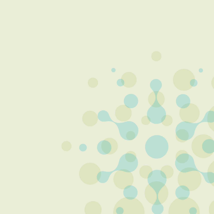